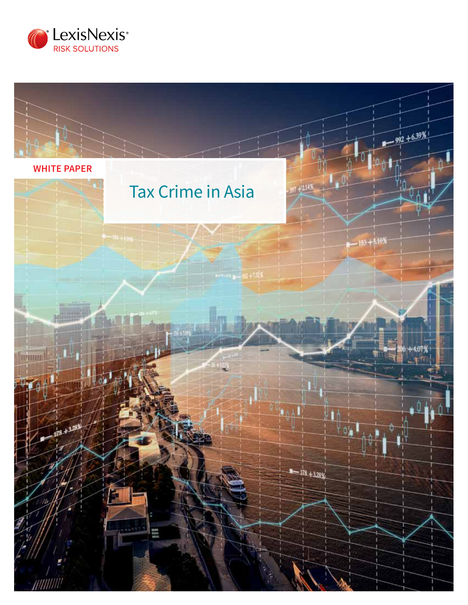

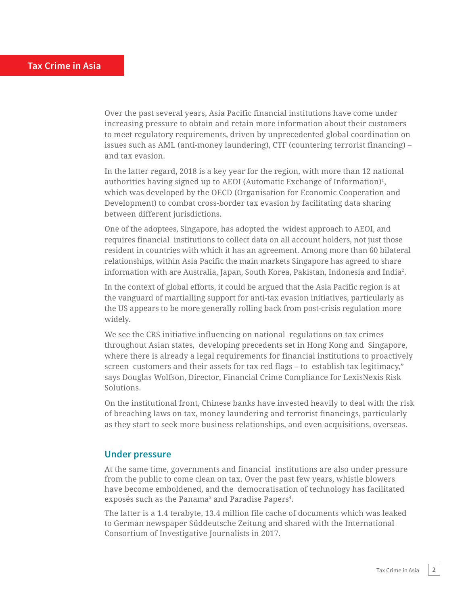Over the past several years, Asia Pacific financial institutions have come under increasing pressure to obtain and retain more information about their customers to meet regulatory requirements, driven by unprecedented global coordination on issues such as AML (anti-money laundering), CTF (countering terrorist financing) – and tax evasion.

In the latter regard, 2018 is a key year for the region, with more than 12 national authorities having signed up to AEOI (Automatic Exchange of Information)<sup>1</sup>, which was developed by the OECD (Organisation for Economic Cooperation and Development) to combat cross-border tax evasion by facilitating data sharing between different jurisdictions.

One of the adoptees, Singapore, has adopted the widest approach to AEOI, and requires financial institutions to collect data on all account holders, not just those resident in countries with which it has an agreement. Among more than 60 bilateral relationships, within Asia Pacific the main markets Singapore has agreed to share information with are Australia, Japan, South Korea, Pakistan, Indonesia and India2 .

In the context of global efforts, it could be argued that the Asia Pacific region is at the vanguard of martialling support for anti-tax evasion initiatives, particularly as the US appears to be more generally rolling back from post-crisis regulation more widely.

We see the CRS initiative influencing on national regulations on tax crimes throughout Asian states, developing precedents set in Hong Kong and Singapore, where there is already a legal requirements for financial institutions to proactively screen customers and their assets for tax red flags – to establish tax legitimacy," says Douglas Wolfson, Director, Financial Crime Compliance for LexisNexis Risk Solutions.

On the institutional front, Chinese banks have invested heavily to deal with the risk of breaching laws on tax, money laundering and terrorist financings, particularly as they start to seek more business relationships, and even acquisitions, overseas.

#### **Under pressure**

At the same time, governments and financial institutions are also under pressure from the public to come clean on tax. Over the past few years, whistle blowers have become emboldened, and the democratisation of technology has facilitated exposés such as the Panama<sup>3</sup> and Paradise Papers<sup>4</sup>.

The latter is a 1.4 terabyte, 13.4 million file cache of documents which was leaked to German newspaper Süddeutsche Zeitung and shared with the International Consortium of Investigative Journalists in 2017.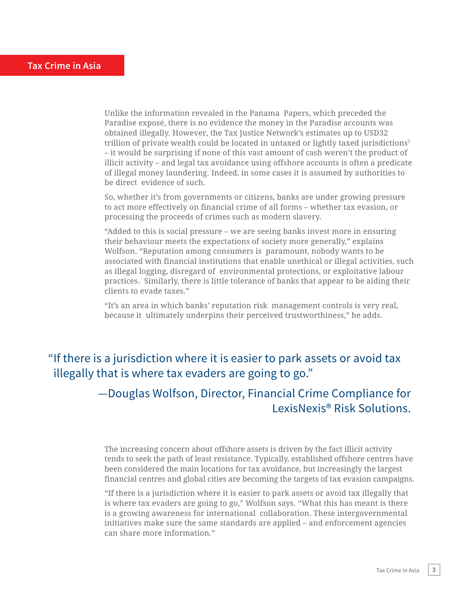Unlike the information revealed in the Panama Papers, which preceded the Paradise exposé, there is no evidence the money in the Paradise accounts was obtained illegally. However, the Tax Justice Network's estimates up to USD32 trillion of private wealth could be located in untaxed or lightly taxed jurisdictions<sup>5</sup> – it would be surprising if none of this vast amount of cash weren't the product of illicit activity – and legal tax avoidance using offshore accounts is often a predicate of illegal money laundering. Indeed, in some cases it is assumed by authorities to be direct evidence of such.

So, whether it's from governments or citizens, banks are under growing pressure to act more effectively on financial crime of all forms – whether tax evasion, or processing the proceeds of crimes such as modern slavery.

"Added to this is social pressure – we are seeing banks invest more in ensuring their behaviour meets the expectations of society more generally," explains Wolfson. "Reputation among consumers is paramount, nobody wants to be associated with financial institutions that enable unethical or illegal activities, such as illegal logging, disregard of environmental protections, or exploitative labour practices. Similarly, there is little tolerance of banks that appear to be aiding their clients to evade taxes."

"It's an area in which banks' reputation risk management controls is very real, because it ultimately underpins their perceived trustworthiness," he adds.

## "If there is a jurisdiction where it is easier to park assets or avoid tax illegally that is where tax evaders are going to go."

## —Douglas Wolfson, Director, Financial Crime Compliance for LexisNexis® Risk Solutions.

The increasing concern about offshore assets is driven by the fact illicit activity tends to seek the path of least resistance. Typically, established offshore centres have been considered the main locations for tax avoidance, but increasingly the largest financial centres and global cities are becoming the targets of tax evasion campaigns.

"If there is a jurisdiction where it is easier to park assets or avoid tax illegally that is where tax evaders are going to go," Wolfson says. "What this has meant is there is a growing awareness for international collaboration. These intergovernmental initiatives make sure the same standards are applied – and enforcement agencies can share more information."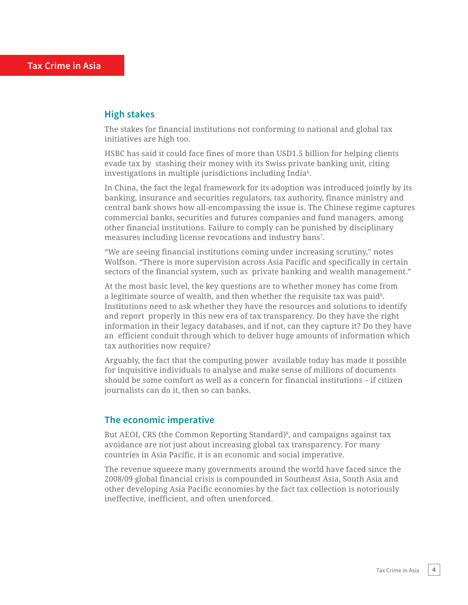#### **High stakes**

The stakes for financial institutions not conforming to national and global tax initiatives are high too.

HSBC has said it could face fines of more than USD1.5 billion for helping clients evade tax by stashing their money with its Swiss private banking unit, citing investigations in multiple jurisdictions including India6 .

In China, the fact the legal framework for its adoption was introduced jointly by its banking, insurance and securities regulators, tax authority, finance ministry and central bank shows how all-encompassing the issue is. The Chinese regime captures commercial banks, securities and futures companies and fund managers, among other financial institutions. Failure to comply can be punished by disciplinary measures including license revocations and industry bans7 .

"We are seeing financial institutions coming under increasing scrutiny," notes Wolfson. "There is more supervision across Asia Pacific and specifically in certain sectors of the financial system, such as private banking and wealth management."

At the most basic level, the key questions are to whether money has come from a legitimate source of wealth, and then whether the requisite tax was paid8 . Institutions need to ask whether they have the resources and solutions to identify and report properly in this new era of tax transparency. Do they have the right information in their legacy databases, and if not, can they capture it? Do they have an efficient conduit through which to deliver huge amounts of information which tax authorities now require?

Arguably, the fact that the computing power available today has made it possible for inquisitive individuals to analyse and make sense of millions of documents should be some comfort as well as a concern for financial institutions – if citizen journalists can do it, then so can banks.

#### **The economic imperative**

But AEOI, CRS (the Common Reporting Standard)<sup>9</sup>, and campaigns against tax avoidance are not just about increasing global tax transparency. For many countries in Asia Pacific, it is an economic and social imperative.

The revenue squeeze many governments around the world have faced since the 2008/09 global financial crisis is compounded in Southeast Asia, South Asia and other developing Asia Pacific economies by the fact tax collection is notoriously ineffective, inefficient, and often unenforced.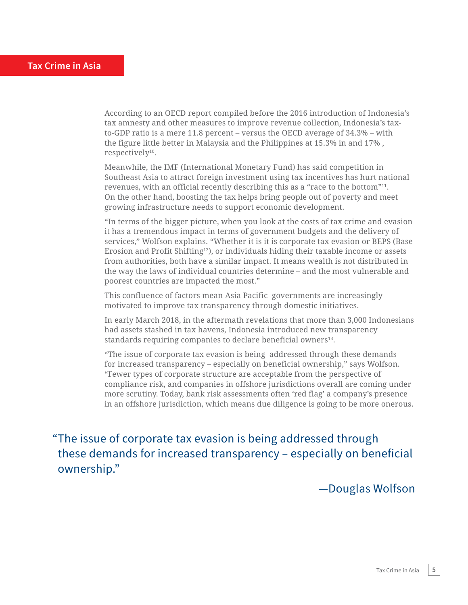According to an OECD report compiled before the 2016 introduction of Indonesia's tax amnesty and other measures to improve revenue collection, Indonesia's taxto-GDP ratio is a mere 11.8 percent – versus the OECD average of 34.3% – with the figure little better in Malaysia and the Philippines at 15.3% in and 17% , respectively<sup>10</sup>.

Meanwhile, the IMF (International Monetary Fund) has said competition in Southeast Asia to attract foreign investment using tax incentives has hurt national revenues, with an official recently describing this as a "race to the bottom"<sup>11</sup>. On the other hand, boosting the tax helps bring people out of poverty and meet growing infrastructure needs to support economic development.

"In terms of the bigger picture, when you look at the costs of tax crime and evasion it has a tremendous impact in terms of government budgets and the delivery of services," Wolfson explains. "Whether it is it is corporate tax evasion or BEPS (Base Erosion and Profit Shifting<sup>12</sup>), or individuals hiding their taxable income or assets from authorities, both have a similar impact. It means wealth is not distributed in the way the laws of individual countries determine – and the most vulnerable and poorest countries are impacted the most."

This confluence of factors mean Asia Pacific governments are increasingly motivated to improve tax transparency through domestic initiatives.

In early March 2018, in the aftermath revelations that more than 3,000 Indonesians had assets stashed in tax havens, Indonesia introduced new transparency standards requiring companies to declare beneficial owners<sup>13</sup>.

"The issue of corporate tax evasion is being addressed through these demands for increased transparency – especially on beneficial ownership," says Wolfson. "Fewer types of corporate structure are acceptable from the perspective of compliance risk, and companies in offshore jurisdictions overall are coming under more scrutiny. Today, bank risk assessments often 'red flag' a company's presence in an offshore jurisdiction, which means due diligence is going to be more onerous.

"The issue of corporate tax evasion is being addressed through these demands for increased transparency – especially on beneficial ownership."

—Douglas Wolfson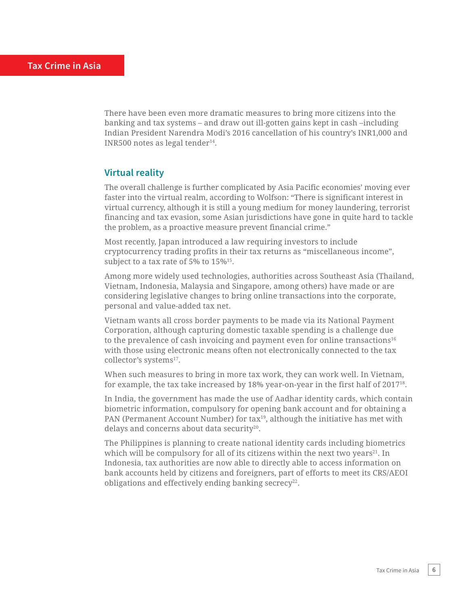There have been even more dramatic measures to bring more citizens into the banking and tax systems – and draw out ill-gotten gains kept in cash –including Indian President Narendra Modi's 2016 cancellation of his country's INR1,000 and INR500 notes as legal tender $14$ .

### **Virtual reality**

The overall challenge is further complicated by Asia Pacific economies' moving ever faster into the virtual realm, according to Wolfson: "There is significant interest in virtual currency, although it is still a young medium for money laundering, terrorist financing and tax evasion, some Asian jurisdictions have gone in quite hard to tackle the problem, as a proactive measure prevent financial crime."

Most recently, Japan introduced a law requiring investors to include cryptocurrency trading profits in their tax returns as "miscellaneous income", subject to a tax rate of 5% to 15%<sup>15</sup>.

Among more widely used technologies, authorities across Southeast Asia (Thailand, Vietnam, Indonesia, Malaysia and Singapore, among others) have made or are considering legislative changes to bring online transactions into the corporate, personal and value-added tax net.

Vietnam wants all cross border payments to be made via its National Payment Corporation, although capturing domestic taxable spending is a challenge due to the prevalence of cash invoicing and payment even for online transactions $16$ with those using electronic means often not electronically connected to the tax collector's systems<sup>17</sup>.

When such measures to bring in more tax work, they can work well. In Vietnam, for example, the tax take increased by 18% year-on-year in the first half of 201718.

In India, the government has made the use of Aadhar identity cards, which contain biometric information, compulsory for opening bank account and for obtaining a PAN (Permanent Account Number) for tax<sup>19</sup>, although the initiative has met with delays and concerns about data security<sup>20</sup>.

The Philippines is planning to create national identity cards including biometrics which will be compulsory for all of its citizens within the next two years $21$ . In Indonesia, tax authorities are now able to directly able to access information on bank accounts held by citizens and foreigners, part of efforts to meet its CRS/AEOI obligations and effectively ending banking secrecy<sup>22</sup>.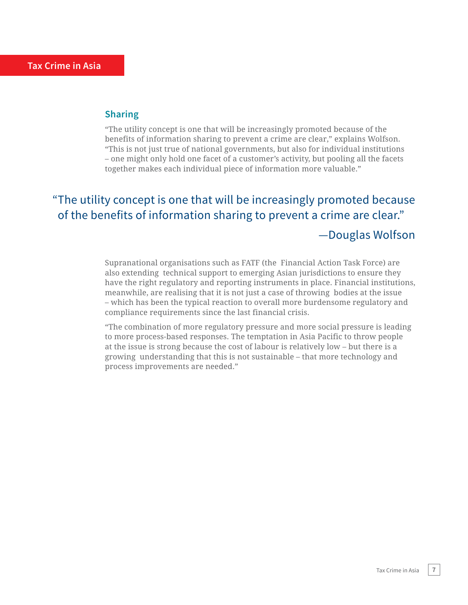### **Sharing**

"The utility concept is one that will be increasingly promoted because of the benefits of information sharing to prevent a crime are clear," explains Wolfson. "This is not just true of national governments, but also for individual institutions – one might only hold one facet of a customer's activity, but pooling all the facets together makes each individual piece of information more valuable."

# "The utility concept is one that will be increasingly promoted because of the benefits of information sharing to prevent a crime are clear." —Douglas Wolfson

Supranational organisations such as FATF (the Financial Action Task Force) are also extending technical support to emerging Asian jurisdictions to ensure they have the right regulatory and reporting instruments in place. Financial institutions, meanwhile, are realising that it is not just a case of throwing bodies at the issue – which has been the typical reaction to overall more burdensome regulatory and compliance requirements since the last financial crisis.

"The combination of more regulatory pressure and more social pressure is leading to more process-based responses. The temptation in Asia Pacific to throw people at the issue is strong because the cost of labour is relatively low – but there is a growing understanding that this is not sustainable – that more technology and process improvements are needed."